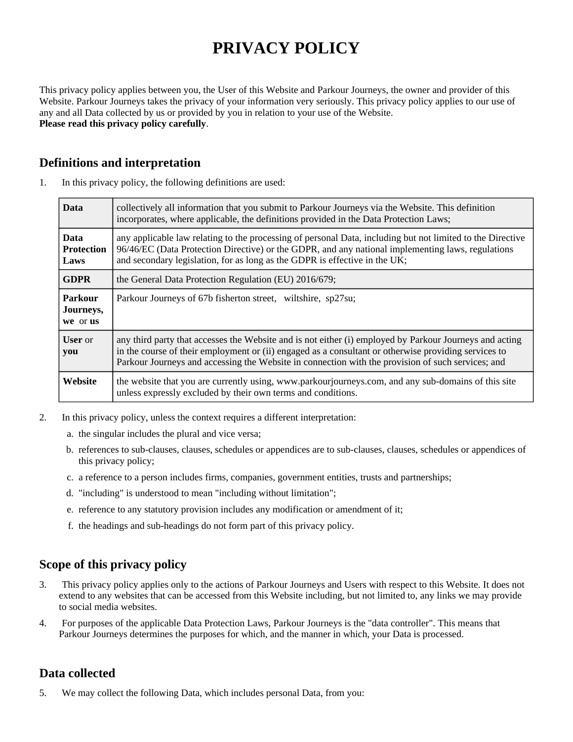# **PRIVACY POLICY**

This privacy policy applies between you, the User of this Website and Parkour Journeys, the owner and provider of this Website. Parkour Journeys takes the privacy of your information very seriously. This privacy policy applies to our use of any and all Data collected by us or provided by you in relation to your use of the Website. **Please read this privacy policy carefully**.

# **Definitions and interpretation**

| <b>Data</b>                              | collectively all information that you submit to Parkour Journeys via the Website. This definition<br>incorporates, where applicable, the definitions provided in the Data Protection Laws;                                                                                                                           |
|------------------------------------------|----------------------------------------------------------------------------------------------------------------------------------------------------------------------------------------------------------------------------------------------------------------------------------------------------------------------|
| <b>Data</b><br><b>Protection</b><br>Laws | any applicable law relating to the processing of personal Data, including but not limited to the Directive<br>96/46/EC (Data Protection Directive) or the GDPR, and any national implementing laws, regulations<br>and secondary legislation, for as long as the GDPR is effective in the UK;                        |
| <b>GDPR</b>                              | the General Data Protection Regulation (EU) 2016/679;                                                                                                                                                                                                                                                                |
| Parkour<br>Journeys,<br>we or us         | Parkour Journeys of 67b fisherton street, wiltshire, sp27su;                                                                                                                                                                                                                                                         |
| <b>User</b> or<br>you                    | any third party that accesses the Website and is not either (i) employed by Parkour Journeys and acting<br>in the course of their employment or (ii) engaged as a consultant or otherwise providing services to<br>Parkour Journeys and accessing the Website in connection with the provision of such services; and |
| Website                                  | the website that you are currently using, www.parkourjourneys.com, and any sub-domains of this site<br>unless expressly excluded by their own terms and conditions.                                                                                                                                                  |

1. In this privacy policy, the following definitions are used:

- 2. In this privacy policy, unless the context requires a different interpretation:
	- a. the singular includes the plural and vice versa;
	- b. references to sub-clauses, clauses, schedules or appendices are to sub-clauses, clauses, schedules or appendices of this privacy policy;
	- c. a reference to a person includes firms, companies, government entities, trusts and partnerships;
	- d. "including" is understood to mean "including without limitation";
	- e. reference to any statutory provision includes any modification or amendment of it;
	- f. the headings and sub-headings do not form part of this privacy policy.

# **Scope of this privacy policy**

- 3. This privacy policy applies only to the actions of Parkour Journeys and Users with respect to this Website. It does not extend to any websites that can be accessed from this Website including, but not limited to, any links we may provide to social media websites.
- 4. For purposes of the applicable Data Protection Laws, Parkour Journeys is the "data controller". This means that Parkour Journeys determines the purposes for which, and the manner in which, your Data is processed.

# **Data collected**

5. We may collect the following Data, which includes personal Data, from you: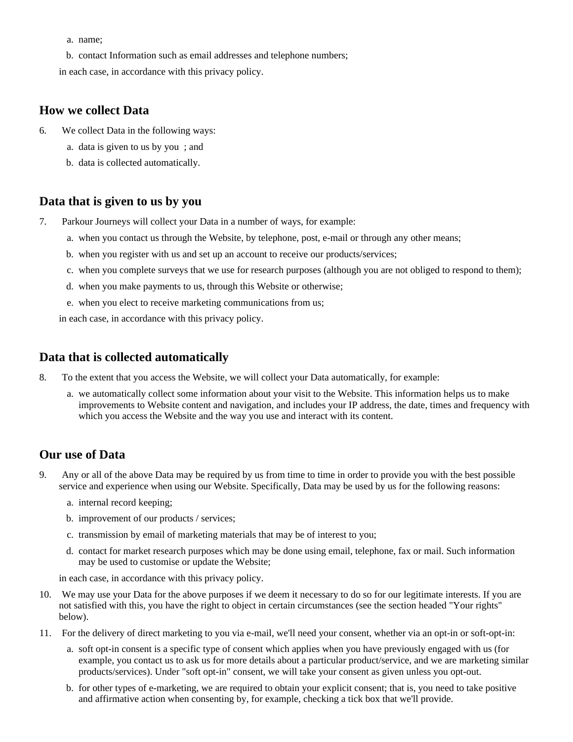- a. name;
- b. contact Information such as email addresses and telephone numbers;

in each case, in accordance with this privacy policy.

## **How we collect Data**

- 6. We collect Data in the following ways:
	- a. data is given to us by you ; and
	- b. data is collected automatically.

#### **Data that is given to us by you**

- 7. Parkour Journeys will collect your Data in a number of ways, for example:
	- a. when you contact us through the Website, by telephone, post, e-mail or through any other means;
	- b. when you register with us and set up an account to receive our products/services;
	- c. when you complete surveys that we use for research purposes (although you are not obliged to respond to them);
	- d. when you make payments to us, through this Website or otherwise;
	- e. when you elect to receive marketing communications from us;

in each case, in accordance with this privacy policy.

## **Data that is collected automatically**

- 8. To the extent that you access the Website, we will collect your Data automatically, for example:
	- a. we automatically collect some information about your visit to the Website. This information helps us to make improvements to Website content and navigation, and includes your IP address, the date, times and frequency with which you access the Website and the way you use and interact with its content.

## **Our use of Data**

- 9. Any or all of the above Data may be required by us from time to time in order to provide you with the best possible service and experience when using our Website. Specifically, Data may be used by us for the following reasons:
	- a. internal record keeping;
	- b. improvement of our products / services;
	- c. transmission by email of marketing materials that may be of interest to you;
	- d. contact for market research purposes which may be done using email, telephone, fax or mail. Such information may be used to customise or update the Website;

in each case, in accordance with this privacy policy.

- 10. We may use your Data for the above purposes if we deem it necessary to do so for our legitimate interests. If you are not satisfied with this, you have the right to object in certain circumstances (see the section headed "Your rights" below).
- 11. For the delivery of direct marketing to you via e-mail, we'll need your consent, whether via an opt-in or soft-opt-in:
	- a. soft opt-in consent is a specific type of consent which applies when you have previously engaged with us (for example, you contact us to ask us for more details about a particular product/service, and we are marketing similar products/services). Under "soft opt-in" consent, we will take your consent as given unless you opt-out.
	- b. for other types of e-marketing, we are required to obtain your explicit consent; that is, you need to take positive and affirmative action when consenting by, for example, checking a tick box that we'll provide.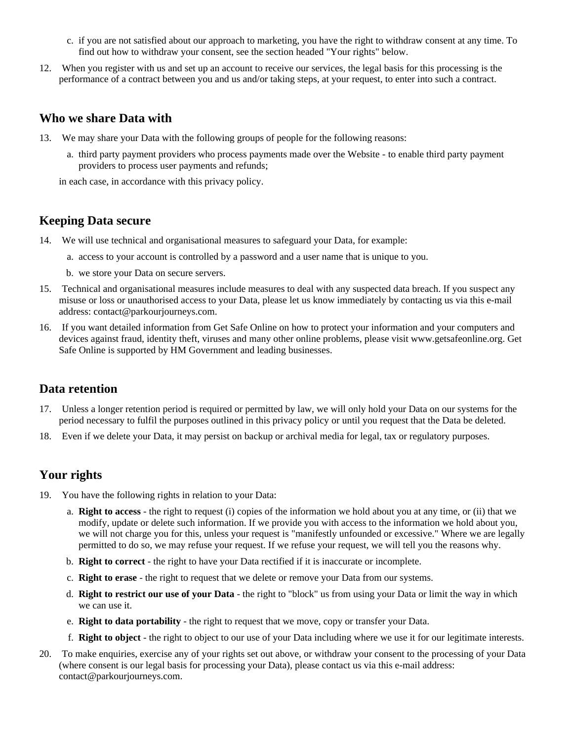- c. if you are not satisfied about our approach to marketing, you have the right to withdraw consent at any time. To find out how to withdraw your consent, see the section headed "Your rights" below.
- 12. When you register with us and set up an account to receive our services, the legal basis for this processing is the performance of a contract between you and us and/or taking steps, at your request, to enter into such a contract.

#### **Who we share Data with**

- 13. We may share your Data with the following groups of people for the following reasons:
	- a. third party payment providers who process payments made over the Website to enable third party payment providers to process user payments and refunds;

in each case, in accordance with this privacy policy.

#### **Keeping Data secure**

- 14. We will use technical and organisational measures to safeguard your Data, for example:
	- a. access to your account is controlled by a password and a user name that is unique to you.
	- b. we store your Data on secure servers.
- 15. Technical and organisational measures include measures to deal with any suspected data breach. If you suspect any misuse or loss or unauthorised access to your Data, please let us know immediately by contacting us via this e-mail address: contact@parkourjourneys.com.
- 16. If you want detailed information from Get Safe Online on how to protect your information and your computers and devices against fraud, identity theft, viruses and many other online problems, please visit www.getsafeonline.org. Get Safe Online is supported by HM Government and leading businesses.

#### **Data retention**

- 17. Unless a longer retention period is required or permitted by law, we will only hold your Data on our systems for the period necessary to fulfil the purposes outlined in this privacy policy or until you request that the Data be deleted.
- 18. Even if we delete your Data, it may persist on backup or archival media for legal, tax or regulatory purposes.

## **Your rights**

- 19. You have the following rights in relation to your Data:
	- a. **Right to access** the right to request (i) copies of the information we hold about you at any time, or (ii) that we modify, update or delete such information. If we provide you with access to the information we hold about you, we will not charge you for this, unless your request is "manifestly unfounded or excessive." Where we are legally permitted to do so, we may refuse your request. If we refuse your request, we will tell you the reasons why.
	- b. **Right to correct** the right to have your Data rectified if it is inaccurate or incomplete.
	- c. **Right to erase** the right to request that we delete or remove your Data from our systems.
	- d. **Right to restrict our use of your Data** the right to "block" us from using your Data or limit the way in which we can use it.
	- e. **Right to data portability** the right to request that we move, copy or transfer your Data.
	- f. **Right to object** the right to object to our use of your Data including where we use it for our legitimate interests.
- 20. To make enquiries, exercise any of your rights set out above, or withdraw your consent to the processing of your Data (where consent is our legal basis for processing your Data), please contact us via this e-mail address: contact@parkourjourneys.com.